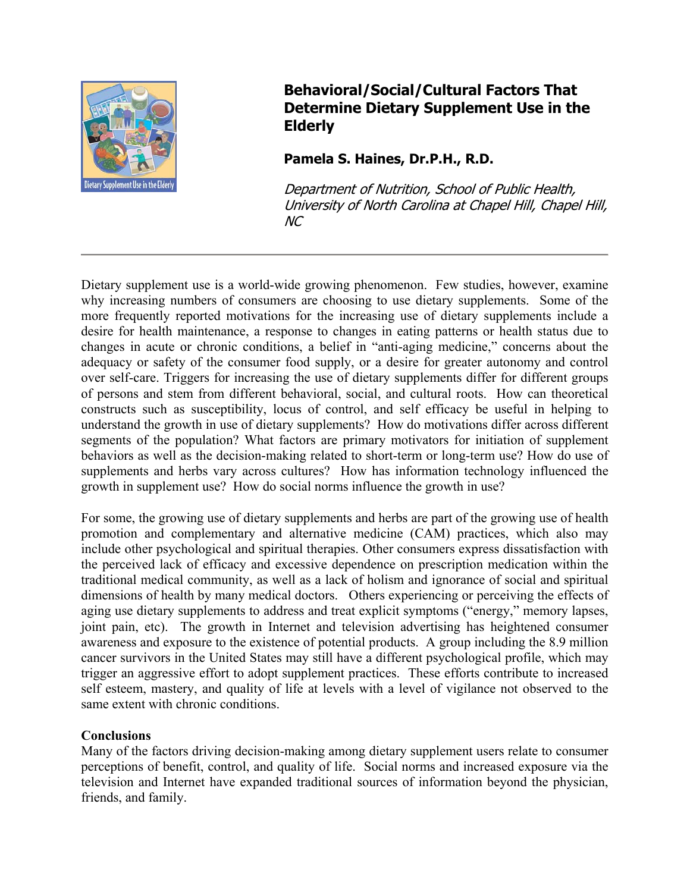

# **Behavioral/Social/Cultural Factors That Determine Dietary Supplement Use in the Elderly**

## **Pamela S. Haines, Dr.P.H., R.D.**

Department of Nutrition, School of Public Health, University of North Carolina at Chapel Hill, Chapel Hill, NC

Dietary supplement use is a world-wide growing phenomenon. Few studies, however, examine why increasing numbers of consumers are choosing to use dietary supplements. Some of the more frequently reported motivations for the increasing use of dietary supplements include a desire for health maintenance, a response to changes in eating patterns or health status due to changes in acute or chronic conditions, a belief in "anti-aging medicine," concerns about the adequacy or safety of the consumer food supply, or a desire for greater autonomy and control over self-care. Triggers for increasing the use of dietary supplements differ for different groups of persons and stem from different behavioral, social, and cultural roots. How can theoretical constructs such as susceptibility, locus of control, and self efficacy be useful in helping to understand the growth in use of dietary supplements? How do motivations differ across different segments of the population? What factors are primary motivators for initiation of supplement behaviors as well as the decision-making related to short-term or long-term use? How do use of supplements and herbs vary across cultures? How has information technology influenced the growth in supplement use? How do social norms influence the growth in use?

For some, the growing use of dietary supplements and herbs are part of the growing use of health promotion and complementary and alternative medicine (CAM) practices, which also may include other psychological and spiritual therapies. Other consumers express dissatisfaction with the perceived lack of efficacy and excessive dependence on prescription medication within the traditional medical community, as well as a lack of holism and ignorance of social and spiritual dimensions of health by many medical doctors. Others experiencing or perceiving the effects of aging use dietary supplements to address and treat explicit symptoms ("energy," memory lapses, joint pain, etc). The growth in Internet and television advertising has heightened consumer awareness and exposure to the existence of potential products. A group including the 8.9 million cancer survivors in the United States may still have a different psychological profile, which may trigger an aggressive effort to adopt supplement practices. These efforts contribute to increased self esteem, mastery, and quality of life at levels with a level of vigilance not observed to the same extent with chronic conditions.

### **Conclusions**

Many of the factors driving decision-making among dietary supplement users relate to consumer perceptions of benefit, control, and quality of life. Social norms and increased exposure via the television and Internet have expanded traditional sources of information beyond the physician, friends, and family.